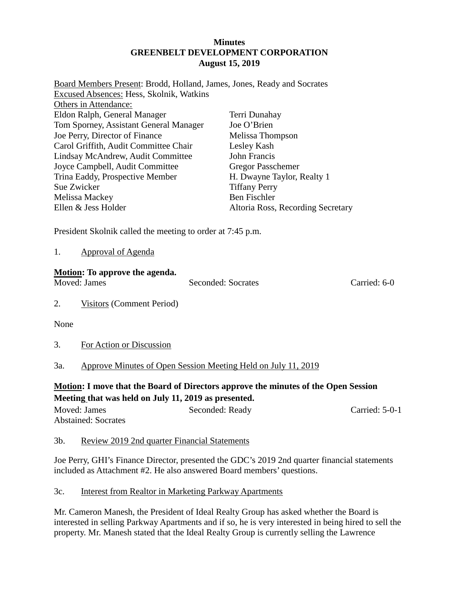#### **Minutes GREENBELT DEVELOPMENT CORPORATION August 15, 2019**

| Board Members Present: Brodd, Holland, James, Jones, Ready and Socrates |                                   |
|-------------------------------------------------------------------------|-----------------------------------|
| Excused Absences: Hess, Skolnik, Watkins                                |                                   |
| Others in Attendance:                                                   |                                   |
| Eldon Ralph, General Manager                                            | Terri Dunahay                     |
| Tom Sporney, Assistant General Manager                                  | Joe O'Brien                       |
| Joe Perry, Director of Finance                                          | Melissa Thompson                  |
| Carol Griffith, Audit Committee Chair                                   | Lesley Kash                       |
| Lindsay McAndrew, Audit Committee                                       | John Francis                      |
| Joyce Campbell, Audit Committee                                         | <b>Gregor Passchemer</b>          |
| Trina Eaddy, Prospective Member                                         | H. Dwayne Taylor, Realty 1        |
| Sue Zwicker                                                             | <b>Tiffany Perry</b>              |
| Melissa Mackey                                                          | Ben Fischler                      |
| Ellen & Jess Holder                                                     | Altoria Ross, Recording Secretary |
|                                                                         |                                   |

President Skolnik called the meeting to order at 7:45 p.m.

| Approval of Agenda |  |
|--------------------|--|
|                    |  |

#### **Motion: To approve the agenda.**

Moved: James Seconded: Socrates Carried: 6-0

2. Visitors (Comment Period)

None

3. For Action or Discussion

# 3a. Approve Minutes of Open Session Meeting Held on July 11, 2019

**Motion: I move that the Board of Directors approve the minutes of the Open Session Meeting that was held on July 11, 2019 as presented.**

| Moved: James               | Seconded: Ready | Carried: $5-0-1$ |
|----------------------------|-----------------|------------------|
| <b>Abstained: Socrates</b> |                 |                  |

# 3b. Review 2019 2nd quarter Financial Statements

Joe Perry, GHI's Finance Director, presented the GDC's 2019 2nd quarter financial statements included as Attachment #2. He also answered Board members' questions.

# 3c. Interest from Realtor in Marketing Parkway Apartments

Mr. Cameron Manesh, the President of Ideal Realty Group has asked whether the Board is interested in selling Parkway Apartments and if so, he is very interested in being hired to sell the property. Mr. Manesh stated that the Ideal Realty Group is currently selling the Lawrence